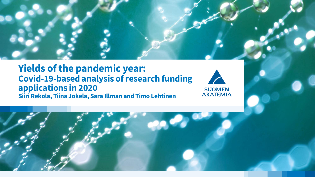

#### **Yields of the pandemic year: Covid-19-based analysis of research funding applications in 2020 Siiri Rekola, Tiina Jokela, Sara Illman and Timo Lehtinen**



**SUOMEN<br>AKATEMIA** 

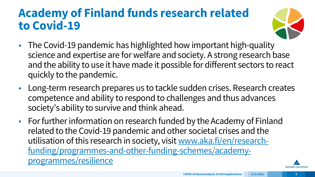### **Academy of Finland funds research related to Covid-19**



- The Covid-19 pandemic has highlighted how important high-quality science and expertise are for welfare and society. A strong research base and the ability to use it have made it possible for different sectors to react quickly to the pandemic.
- Long-term research prepares us to tackle sudden crises. Research creates competence and ability to respond to challenges and thus advances society's ability to survive and think ahead.
- For further information on research funded by the Academy of Finland related to the Covid-19 pandemic and other societal crises and the utilisation of this research in society, visit www.aka.fi/en/research[funding/programmes-and-other-funding-schemes/academy](https://www.aka.fi/en/research-funding/programmes-and-other-funding-schemes/academy-programmes/resilience/)programmes/resilience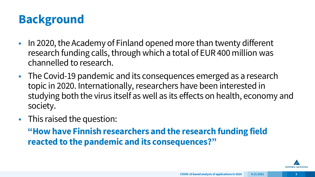## **Background**

- In 2020, the Academy of Finland opened more than twenty different research funding calls, through which a total of EUR 400 million was channelled to research.
- The Covid-19 pandemic and its consequences emerged as a research topic in 2020. Internationally, researchers have been interested in studying both the virus itself as well as its effects on health, economy and society.
- This raised the question:

**"How have Finnish researchers and the research funding field reacted to the pandemic and its consequences?"**

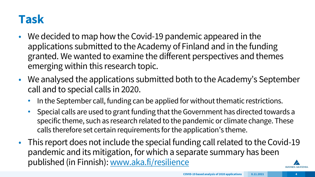### **Task**

- We decided to map how the Covid-19 pandemic appeared in the applications submitted to the Academy of Finland and in the funding granted. We wanted to examine the different perspectives and themes emerging within this research topic.
- We analysed the applications submitted both to the Academy's September call and to special calls in 2020.
	- In the September call, funding can be applied for without thematic restrictions.
	- Special calls are used to grant funding that the Government has directed towards a specific theme, such as research related to the pandemic or climate change. These calls therefore set certain requirements for the application's theme.
- This report does not include the special funding call related to the Covid-19 pandemic and its mitigation, for which a separate summary has been published (in Finnish): [www.aka.fi/resilience](https://www.aka.fi/en/research-funding/programmes-and-other-funding-schemes/academy-programmes/resilience/)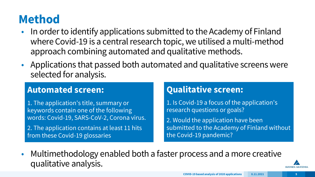## **Method**

- In order to identify applications submitted to the Academy of Finland where Covid-19 is a central research topic, we utilised a multi-method approach combining automated and qualitative methods.
- Applications that passed both automated and qualitative screens were selected for analysis.

#### **Automated screen:**

- 1. The application's title, summary or keywords contain one of the following words: Covid-19, SARS-CoV-2, Corona virus.
- 2. The application contains at least 11 hits from these Covid-19 glossaries

#### **Qualitative screen:**

- 1. Is Covid-19 a focus of the application's research questions or goals?
- 2. Would the application have been submitted to the Academy of Finland without the Covid-19 pandemic?
- Multimethodology enabled both a faster process and a more creative qualitative analysis.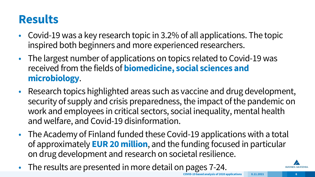## **Results**

- Covid-19 was a key research topic in 3.2% of all applications. The topic inspired both beginners and more experienced researchers.
- The largest number of applications on topics related to Covid-19 was received from the fields of **biomedicine, social sciences and microbiology**.
- Research topics highlighted areas such as vaccine and drug development, security of supply and crisis preparedness, the impact of the pandemic on work and employees in critical sectors, social inequality, mental health and welfare, and Covid-19 disinformation.
- The Academy of Finland funded these Covid-19 applications with a total of approximately **EUR 20 million**, and the funding focused in particular on drug development and research on societal resilience.
- The results are presented in more detail on pages 7-24.

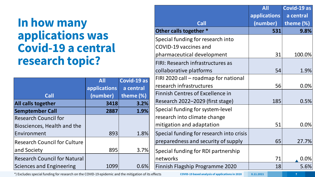#### **In how many applications was Covid-19 a central research topic?**

|                                     | <b>All</b>   | Covid-19 as  |
|-------------------------------------|--------------|--------------|
|                                     | applications | a central    |
| <b>Call</b>                         | (number)     | theme $(\%)$ |
| All calls together                  | 3418         | 3.2%         |
| <b>Semptember Call</b>              | 2887         | 1.9%         |
| <b>Research Council for</b>         |              |              |
| Biosciences, Health and the         |              |              |
| Environment                         | 893          | 1.8%         |
| <b>Research Council for Culture</b> |              |              |
| and Society                         | 895          | 3.7%         |
| <b>Research Council for Natural</b> |              |              |
| <b>Sciences and Engineering</b>     | 1099         | 0.6%         |

|                                          | <b>All</b>   | Covid-19 as |
|------------------------------------------|--------------|-------------|
|                                          | applications | a central   |
| <b>Call</b>                              | (number)     | theme (%)   |
| Other calls together *                   | 531          | 9.8%        |
| Special funding for research into        |              |             |
| <b>COVID-19 vaccines and</b>             |              |             |
| pharmaceutical development               | 31           | 100.0%      |
| FIRI: Research infrastructures as        |              |             |
| collaborative platforms                  | 54           | 1.9%        |
| FIRI 2020 call - roadmap for national    |              |             |
| research infrastructures                 | 56           | 0.0%        |
| <b>Finnish Centres of Excellence in</b>  |              |             |
| Research 2022-2029 (first stage)         | 185          | 0.5%        |
| Special funding for system-level         |              |             |
| research into climate change             |              |             |
| mitigation and adaptation                | 51           | 0.0%        |
| Special funding for research into crisis |              |             |
| preparedness and security of supply      | 65           | 27.7%       |
| Special funding for RDI partnership      |              |             |
| networks                                 | 71           | 0.0%        |
| Finnish Flagship Programme 2020          | 18           | 5.6%        |

\*) Excludes special funding for research on the COVID-19 epidemic and the mitigation of its effects **COVID-19 based analysis of applications in 2020** 8.11.2021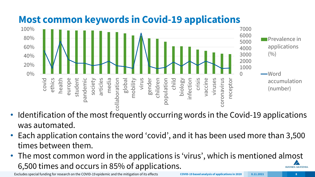

#### **Most common keywords in Covid-19 applications**

- Identification of the most frequently occurring words in the Covid-19 applications was automated.
- Each application contains the word 'covid', and it has been used more than 3,500 times between them.
- The most common word in the applications is 'virus', which is mentioned almost 6,500 times and occurs in 85% of applications.**SUOMEN AKATEMIA**

Excludes special funding for research on the COVID-19 epidemic and the mitigation of its effects **COVID-19 based analysis of applications in 2020** 8.11.2021 **8.11.2021** 8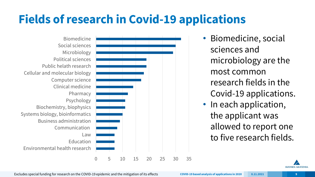## **Fields of research in Covid-19 applications**

0 5 10 15 20 25 30 35 Environmental health research Education Law Communication Business administration Systems biology, bioinformatics Biochemistry, biophysics Psychology Pharmacy Clinical medicine Computer science Cellular and molecular biology Public helath research Political sciences Microbiology Social sciences Biomedicine

• Biomedicine, social sciences and microbiology are the most common research fields in the Covid-19 applications. • In each application, the applicant was allowed to report one to five research fields.



Excludes special funding for research on the COVID-19 epidemic and the mitigation of its effects **COVID-19 based analysis of applications in 2020 8.11.2021 9**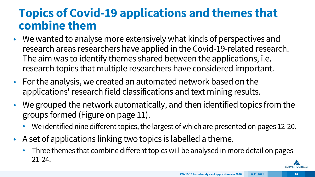#### **Topics of Covid-19 applications and themes that combine them**

- We wanted to analyse more extensively what kinds of perspectives and research areas researchers have applied in the Covid-19-related research. The aim was to identify themes shared between the applications, i.e. research topics that multiple researchers have considered important.
- For the analysis, we created an automated network based on the applications' research field classifications and text mining results.
- We grouped the network automatically, and then identified topics from the groups formed (Figure on page 11).
	- We identified nine different topics, the largest of which are presented on pages 12-20.
- A set of applications linking two topics is labelled a theme.
	- Three themes that combine different topics will be analysed in more detail on pages 21-24.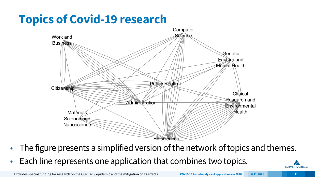## **Topics of Covid-19 research**



- The figure presents a simplified version of the network of topics and themes.
- Each line represents one application that combines two topics.



Excludes special funding for research on the COVID-19 epidemic and the mitigation of its effects **COVID-19 based analysis of applications in 2020 8.11.2021 11**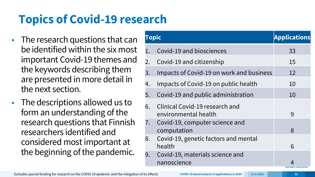## **Topics of Covid-19 research**

- The research questions that can be identified within the six most important Covid-19 themes and the keywords describing them are presented in more detail in the next section.
- The descriptions allowed us to form an understanding of the research questions that Finnish researchers identified and considered most important at the beginning of the pandemic.

| <b>Topic</b> |                                                        | Applications |
|--------------|--------------------------------------------------------|--------------|
|              | Covid-19 and biosciences                               | 33           |
| 2.           | Covid-19 and citizenship                               | 15           |
| 3.           | Impacts of Covid-19 on work and business               | 12           |
| 4.           | Impacts of Covid-19 on public health                   | 10           |
| 5.           | Covid-19 and public administration                     | 10           |
| 6.           | Clinical Covid-19 research and<br>environmental health | 9            |
| 7.           | Covid-19, computer science and<br>computation          | 8            |
| 8.           | Covid-19, genetic factors and mental<br>health         | 6            |
| 9.           | Covid-19, materials science and<br>nanoscience         |              |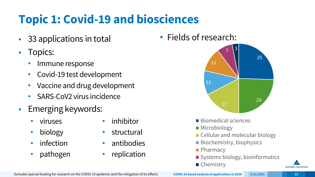## **Topic 1: Covid-19 and biosciences**

- 33 applications in total
- Topics:
	- Immune response
	- Covid-19 test development
	- Vaccine and drug development
	- SARS-CoV2 virus incidence
- Emerging keywords:
	- viruses
	- biology
	- infection
	- pathogen
- inhibitor
- structural
- antibodies
- replication

• Fields of research:



**SUOMEN AKATEMI**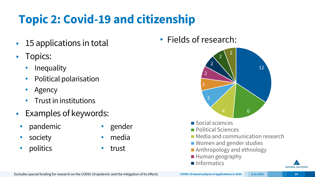## **Topic 2: Covid-19 and citizenship**

- 15 applications in total
- Topics:
	- **Inequality**
	- Political polarisation
	- Agency
	- Trust in institutions
- Examples of keywords:
	- pandemic
	- society
	- politics
- gender
- media
- trust

• Fields of research:

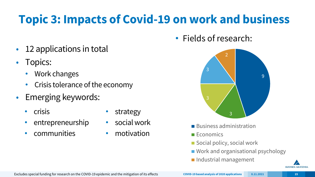## **Topic 3: Impacts of Covid-19 on work and business**

- 12 applications in total
- Topics:
	- Work changes
	- Crisis tolerance of the economy
- Emerging keywords:
	- crisis
	- entrepreneurship
	- communities
- **strategy**
- social work
- motivation





- Business administration
- **Economics**
- Social policy, social work
- Work and organisational psychology
- Industrial management

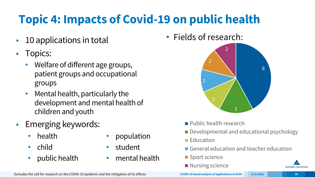# **Topic 4: Impacts of Covid-19 on public health**

- 10 applications in total
- Topics:
	- Welfare of different age groups, patient groups and occupational groups
	- Mental health, particularly the development and mental health of children and youth
- Emerging keywords:
	- health
	- child
	- public health
- population
- student
- mental health

• Fields of research:



- **Public health research**
- Developmental and educational psychology
- **Education**
- General education and teacher education
- Sport science
- Nursing science



Excludes the call for research on the COVID-19 epidemic and the mitigation of its effects **COVID-19** based analysis of applications in 2020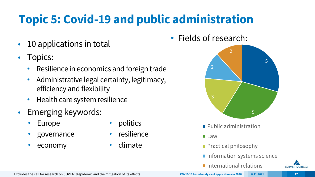# **Topic 5: Covid-19 and public administration**

- 10 applications in total
- Topics:
	- Resilience in economics and foreign trade
	- Administrative legal certainty, legitimacy, efficiency and flexibility
	- Health care system resilience
- Emerging keywords:
	- **Europe**
	- governance
	- economy
- politics
- resilience
- climate

• Fields of research:



- **Public administration**
- **Law**
- **Practical philosophy**
- **Information systems science**
- $\blacksquare$  International relations



Excludes the call for research on COVID-19 epidemic and the mitigation of its effects **COVID-19** based analysis of applications in 2020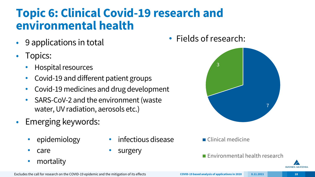### **Topic 6: Clinical Covid-19 research and environmental health**

- 9 applications in total
- Topics:
	- Hospital resources
	- Covid-19 and different patient groups
	- Covid-19 medicines and drug development
	- SARS-CoV-2 and the environment (waste water, UV radiation, aerosols etc.)
- Emerging keywords:
	- epidemiology
	- care
	- mortality
- infectious disease
- surgery

• Fields of research:



■ Clinical medicine

**Environmental health research**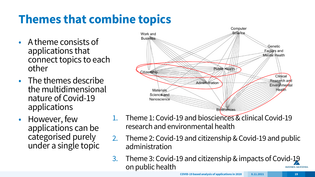## **Themes that combine topics**

- A theme consists of applications that connect topics to each other
- The themes describe the multidimensional nature of Covid-19 applications
- However, few applications can be categorised purely under a single topic



- Theme 1: Covid-19 and biosciences & clinical Covid-19 research and environmental health
- 2. Theme 2: Covid-19 and citizenship & Covid-19 and public administration
- 3. Theme 3: Covid-19 and citizenship & impacts of Covid-19 on public health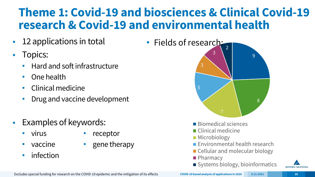#### **Theme 1: Covid-19 and biosciences & Clinical Covid-19 research & Covid-19 and environmental health**

- 12 applications in total
- Topics:
	- Hard and soft infrastructure
	- One health
	- Clinical medicine
	- Drug and vaccine development
- Examples of keywords:
	- virus

• receptor

• gene therapy

- vaccine
- infection



9 8 5 3 3

- $\blacksquare$  Biomedical sciences
- Clinical medicine
- **Microbiology**
- **Environmental health research**
- Cellular and molecular biology
- **Pharmacy**
- Systems biology, bioinformatics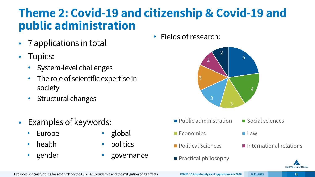#### **Theme 2: Covid-19 and citizenship & Covid-19 and public administration**

- 7 applications in total
- Topics:
	- System-level challenges
	- The role of scientific expertise in society
	- Structural changes
- Examples of keywords:
	- **Europe**
	- health
	- gender
- global
- politics
- governance

• Fields of research:



- $\blacksquare$  Public administration  $\blacksquare$  Social sciences
- **Economics Law**
- **Political Sciences International relations**



Excludes special funding for research on the COVID-19 epidemic and the mitigation of its effects **COVID-19 based analysis of applications in 2020 8.11.2021 21**

**Practical philosophy**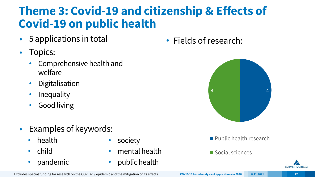### **Theme 3: Covid-19 and citizenship & Effects of Covid-19 on public health**

- 5 applications in total
- Topics:
	- Comprehensive health and welfare
	- Digitalisation
	- **Inequality**
	- Good living
- Examples of keywords:
	- health
	- child
	- pandemic
- society
- mental health
- public health

• Fields of research:



- **Public health research**
- Social sciences

Excludes special funding for research on the COVID-19 epidemic and the mitigation of its effects **COVID-19 based analysis of applications in 2020 8.11.2021 22**